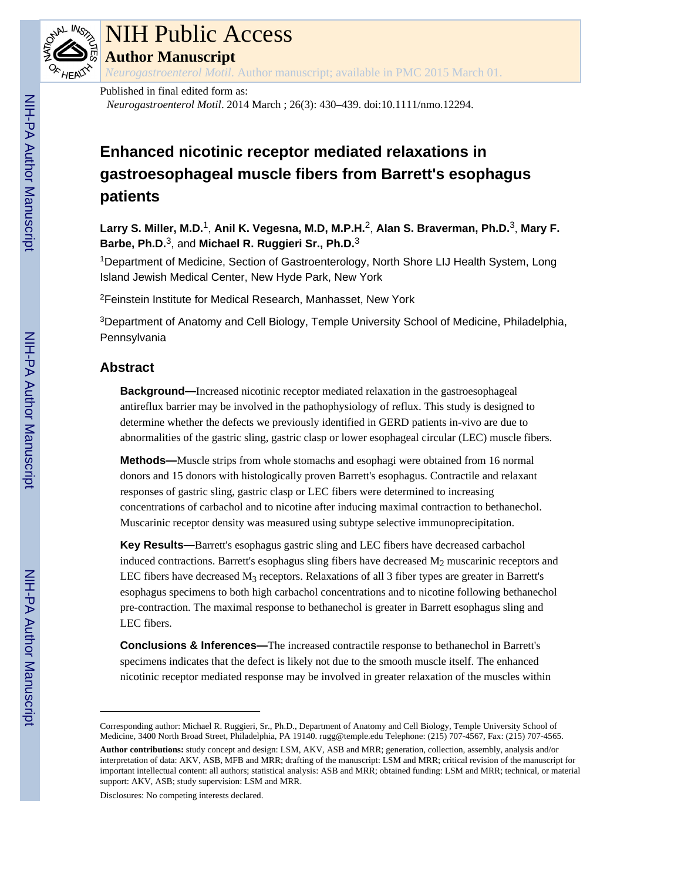

# NIH Public Access

**Author Manuscript**

*Neurogastroenterol Motil*. Author manuscript; available in PMC 2015 March 01.

## Published in final edited form as:

*Neurogastroenterol Motil*. 2014 March ; 26(3): 430–439. doi:10.1111/nmo.12294.

## **Enhanced nicotinic receptor mediated relaxations in gastroesophageal muscle fibers from Barrett's esophagus patients**

**Larry S. Miller, M.D.**1, **Anil K. Vegesna, M.D, M.P.H.**2, **Alan S. Braverman, Ph.D.**3, **Mary F. Barbe, Ph.D.**3, and **Michael R. Ruggieri Sr., Ph.D.**<sup>3</sup>

<sup>1</sup>Department of Medicine, Section of Gastroenterology, North Shore LIJ Health System, Long Island Jewish Medical Center, New Hyde Park, New York

<sup>2</sup>Feinstein Institute for Medical Research, Manhasset, New York

<sup>3</sup>Department of Anatomy and Cell Biology, Temple University School of Medicine, Philadelphia, Pennsylvania

## **Abstract**

**Background—**Increased nicotinic receptor mediated relaxation in the gastroesophageal antireflux barrier may be involved in the pathophysiology of reflux. This study is designed to determine whether the defects we previously identified in GERD patients in-vivo are due to abnormalities of the gastric sling, gastric clasp or lower esophageal circular (LEC) muscle fibers.

**Methods—**Muscle strips from whole stomachs and esophagi were obtained from 16 normal donors and 15 donors with histologically proven Barrett's esophagus. Contractile and relaxant responses of gastric sling, gastric clasp or LEC fibers were determined to increasing concentrations of carbachol and to nicotine after inducing maximal contraction to bethanechol. Muscarinic receptor density was measured using subtype selective immunoprecipitation.

**Key Results—**Barrett's esophagus gastric sling and LEC fibers have decreased carbachol induced contractions. Barrett's esophagus sling fibers have decreased  $M<sub>2</sub>$  muscarinic receptors and LEC fibers have decreased  $M_3$  receptors. Relaxations of all 3 fiber types are greater in Barrett's esophagus specimens to both high carbachol concentrations and to nicotine following bethanechol pre-contraction. The maximal response to bethanechol is greater in Barrett esophagus sling and LEC fibers.

**Conclusions & Inferences—**The increased contractile response to bethanechol in Barrett's specimens indicates that the defect is likely not due to the smooth muscle itself. The enhanced nicotinic receptor mediated response may be involved in greater relaxation of the muscles within

Disclosures: No competing interests declared.

Corresponding author: Michael R. Ruggieri, Sr., Ph.D., Department of Anatomy and Cell Biology, Temple University School of Medicine, 3400 North Broad Street, Philadelphia, PA 19140. rugg@temple.edu Telephone: (215) 707-4567, Fax: (215) 707-4565.

**Author contributions:** study concept and design: LSM, AKV, ASB and MRR; generation, collection, assembly, analysis and/or interpretation of data: AKV, ASB, MFB and MRR; drafting of the manuscript: LSM and MRR; critical revision of the manuscript for important intellectual content: all authors; statistical analysis: ASB and MRR; obtained funding: LSM and MRR; technical, or material support: AKV, ASB; study supervision: LSM and MRR.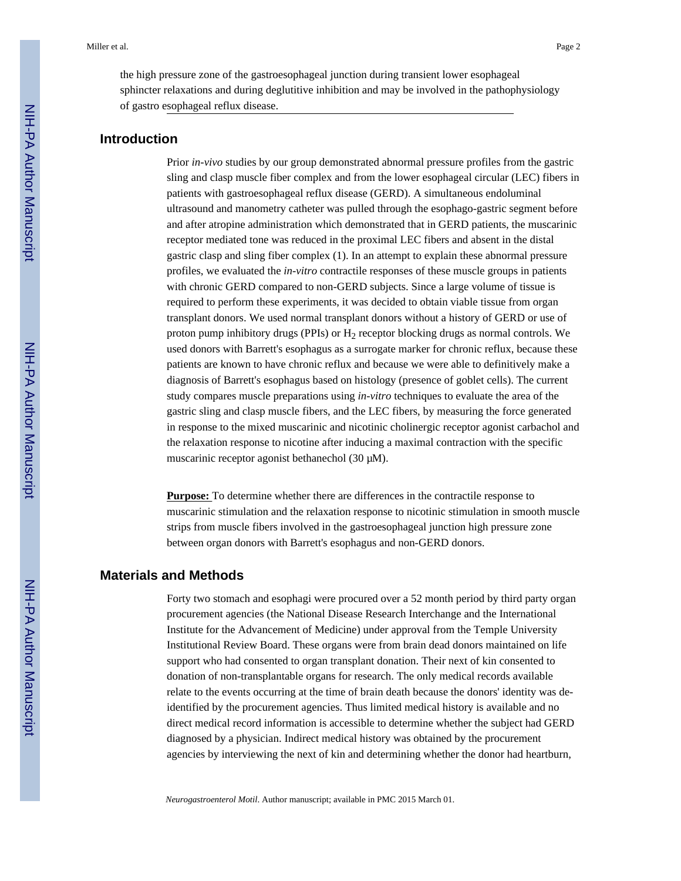the high pressure zone of the gastroesophageal junction during transient lower esophageal sphincter relaxations and during deglutitive inhibition and may be involved in the pathophysiology of gastro esophageal reflux disease.

## **Introduction**

Prior *in-vivo* studies by our group demonstrated abnormal pressure profiles from the gastric sling and clasp muscle fiber complex and from the lower esophageal circular (LEC) fibers in patients with gastroesophageal reflux disease (GERD). A simultaneous endoluminal ultrasound and manometry catheter was pulled through the esophago-gastric segment before and after atropine administration which demonstrated that in GERD patients, the muscarinic receptor mediated tone was reduced in the proximal LEC fibers and absent in the distal gastric clasp and sling fiber complex (1). In an attempt to explain these abnormal pressure profiles, we evaluated the *in-vitro* contractile responses of these muscle groups in patients with chronic GERD compared to non-GERD subjects. Since a large volume of tissue is required to perform these experiments, it was decided to obtain viable tissue from organ transplant donors. We used normal transplant donors without a history of GERD or use of proton pump inhibitory drugs (PPIs) or  $H_2$  receptor blocking drugs as normal controls. We used donors with Barrett's esophagus as a surrogate marker for chronic reflux, because these patients are known to have chronic reflux and because we were able to definitively make a diagnosis of Barrett's esophagus based on histology (presence of goblet cells). The current study compares muscle preparations using *in-vitro* techniques to evaluate the area of the gastric sling and clasp muscle fibers, and the LEC fibers, by measuring the force generated in response to the mixed muscarinic and nicotinic cholinergic receptor agonist carbachol and the relaxation response to nicotine after inducing a maximal contraction with the specific muscarinic receptor agonist bethanechol (30 μM).

**Purpose:** To determine whether there are differences in the contractile response to muscarinic stimulation and the relaxation response to nicotinic stimulation in smooth muscle strips from muscle fibers involved in the gastroesophageal junction high pressure zone between organ donors with Barrett's esophagus and non-GERD donors.

## **Materials and Methods**

Forty two stomach and esophagi were procured over a 52 month period by third party organ procurement agencies (the National Disease Research Interchange and the International Institute for the Advancement of Medicine) under approval from the Temple University Institutional Review Board. These organs were from brain dead donors maintained on life support who had consented to organ transplant donation. Their next of kin consented to donation of non-transplantable organs for research. The only medical records available relate to the events occurring at the time of brain death because the donors' identity was deidentified by the procurement agencies. Thus limited medical history is available and no direct medical record information is accessible to determine whether the subject had GERD diagnosed by a physician. Indirect medical history was obtained by the procurement agencies by interviewing the next of kin and determining whether the donor had heartburn,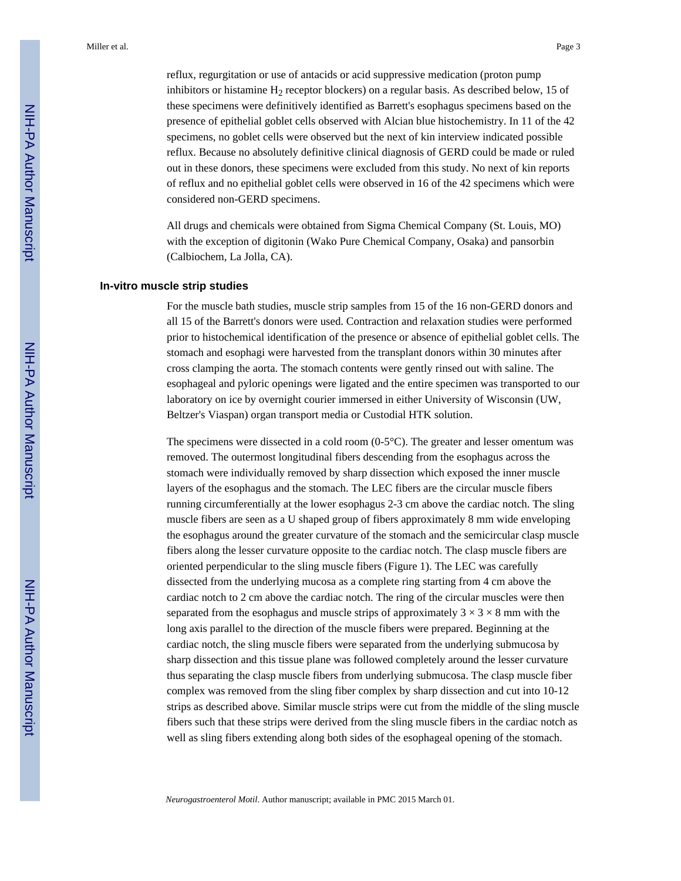reflux, regurgitation or use of antacids or acid suppressive medication (proton pump inhibitors or histamine  $H_2$  receptor blockers) on a regular basis. As described below, 15 of these specimens were definitively identified as Barrett's esophagus specimens based on the presence of epithelial goblet cells observed with Alcian blue histochemistry. In 11 of the 42 specimens, no goblet cells were observed but the next of kin interview indicated possible reflux. Because no absolutely definitive clinical diagnosis of GERD could be made or ruled out in these donors, these specimens were excluded from this study. No next of kin reports of reflux and no epithelial goblet cells were observed in 16 of the 42 specimens which were considered non-GERD specimens.

All drugs and chemicals were obtained from Sigma Chemical Company (St. Louis, MO) with the exception of digitonin (Wako Pure Chemical Company, Osaka) and pansorbin (Calbiochem, La Jolla, CA).

#### **In-vitro muscle strip studies**

For the muscle bath studies, muscle strip samples from 15 of the 16 non-GERD donors and all 15 of the Barrett's donors were used. Contraction and relaxation studies were performed prior to histochemical identification of the presence or absence of epithelial goblet cells. The stomach and esophagi were harvested from the transplant donors within 30 minutes after cross clamping the aorta. The stomach contents were gently rinsed out with saline. The esophageal and pyloric openings were ligated and the entire specimen was transported to our laboratory on ice by overnight courier immersed in either University of Wisconsin (UW, Beltzer's Viaspan) organ transport media or Custodial HTK solution.

The specimens were dissected in a cold room  $(0.5^{\circ}C)$ . The greater and lesser omentum was removed. The outermost longitudinal fibers descending from the esophagus across the stomach were individually removed by sharp dissection which exposed the inner muscle layers of the esophagus and the stomach. The LEC fibers are the circular muscle fibers running circumferentially at the lower esophagus 2-3 cm above the cardiac notch. The sling muscle fibers are seen as a U shaped group of fibers approximately 8 mm wide enveloping the esophagus around the greater curvature of the stomach and the semicircular clasp muscle fibers along the lesser curvature opposite to the cardiac notch. The clasp muscle fibers are oriented perpendicular to the sling muscle fibers (Figure 1). The LEC was carefully dissected from the underlying mucosa as a complete ring starting from 4 cm above the cardiac notch to 2 cm above the cardiac notch. The ring of the circular muscles were then separated from the esophagus and muscle strips of approximately  $3 \times 3 \times 8$  mm with the long axis parallel to the direction of the muscle fibers were prepared. Beginning at the cardiac notch, the sling muscle fibers were separated from the underlying submucosa by sharp dissection and this tissue plane was followed completely around the lesser curvature thus separating the clasp muscle fibers from underlying submucosa. The clasp muscle fiber complex was removed from the sling fiber complex by sharp dissection and cut into 10-12 strips as described above. Similar muscle strips were cut from the middle of the sling muscle fibers such that these strips were derived from the sling muscle fibers in the cardiac notch as well as sling fibers extending along both sides of the esophageal opening of the stomach.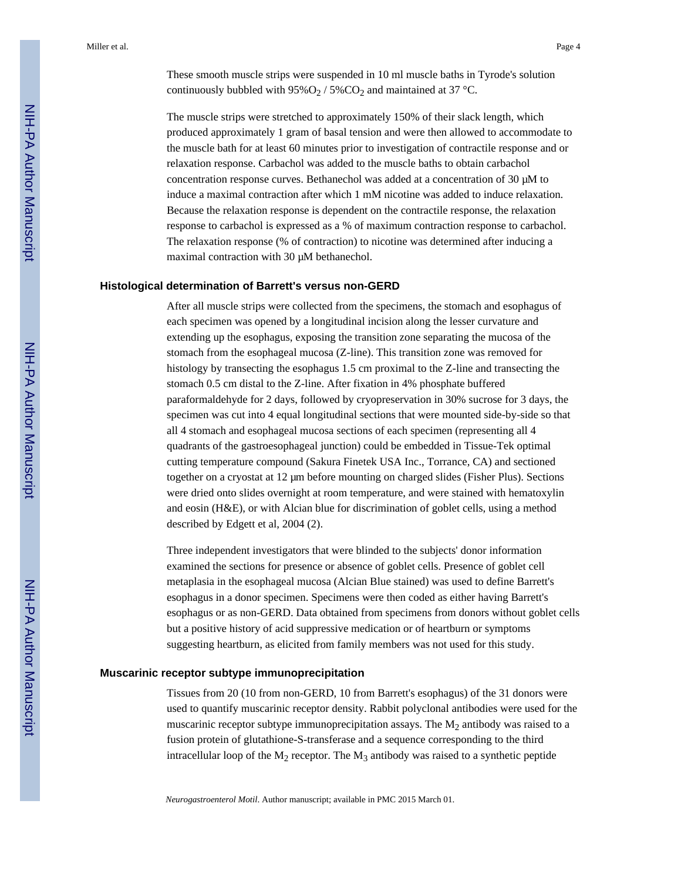These smooth muscle strips were suspended in 10 ml muscle baths in Tyrode's solution continuously bubbled with  $95\%O_2$  /  $5\%CO_2$  and maintained at 37 °C.

The muscle strips were stretched to approximately 150% of their slack length, which produced approximately 1 gram of basal tension and were then allowed to accommodate to the muscle bath for at least 60 minutes prior to investigation of contractile response and or relaxation response. Carbachol was added to the muscle baths to obtain carbachol concentration response curves. Bethanechol was added at a concentration of 30 μM to induce a maximal contraction after which 1 mM nicotine was added to induce relaxation. Because the relaxation response is dependent on the contractile response, the relaxation response to carbachol is expressed as a % of maximum contraction response to carbachol. The relaxation response (% of contraction) to nicotine was determined after inducing a maximal contraction with 30 μM bethanechol.

#### **Histological determination of Barrett's versus non-GERD**

After all muscle strips were collected from the specimens, the stomach and esophagus of each specimen was opened by a longitudinal incision along the lesser curvature and extending up the esophagus, exposing the transition zone separating the mucosa of the stomach from the esophageal mucosa (Z-line). This transition zone was removed for histology by transecting the esophagus 1.5 cm proximal to the Z-line and transecting the stomach 0.5 cm distal to the Z-line. After fixation in 4% phosphate buffered paraformaldehyde for 2 days, followed by cryopreservation in 30% sucrose for 3 days, the specimen was cut into 4 equal longitudinal sections that were mounted side-by-side so that all 4 stomach and esophageal mucosa sections of each specimen (representing all 4 quadrants of the gastroesophageal junction) could be embedded in Tissue-Tek optimal cutting temperature compound (Sakura Finetek USA Inc., Torrance, CA) and sectioned together on a cryostat at 12 μm before mounting on charged slides (Fisher Plus). Sections were dried onto slides overnight at room temperature, and were stained with hematoxylin and eosin (H&E), or with Alcian blue for discrimination of goblet cells, using a method described by Edgett et al, 2004 (2).

Three independent investigators that were blinded to the subjects' donor information examined the sections for presence or absence of goblet cells. Presence of goblet cell metaplasia in the esophageal mucosa (Alcian Blue stained) was used to define Barrett's esophagus in a donor specimen. Specimens were then coded as either having Barrett's esophagus or as non-GERD. Data obtained from specimens from donors without goblet cells but a positive history of acid suppressive medication or of heartburn or symptoms suggesting heartburn, as elicited from family members was not used for this study.

#### **Muscarinic receptor subtype immunoprecipitation**

Tissues from 20 (10 from non-GERD, 10 from Barrett's esophagus) of the 31 donors were used to quantify muscarinic receptor density. Rabbit polyclonal antibodies were used for the muscarinic receptor subtype immunoprecipitation assays. The  $M<sub>2</sub>$  antibody was raised to a fusion protein of glutathione-S-transferase and a sequence corresponding to the third intracellular loop of the  $M_2$  receptor. The  $M_3$  antibody was raised to a synthetic peptide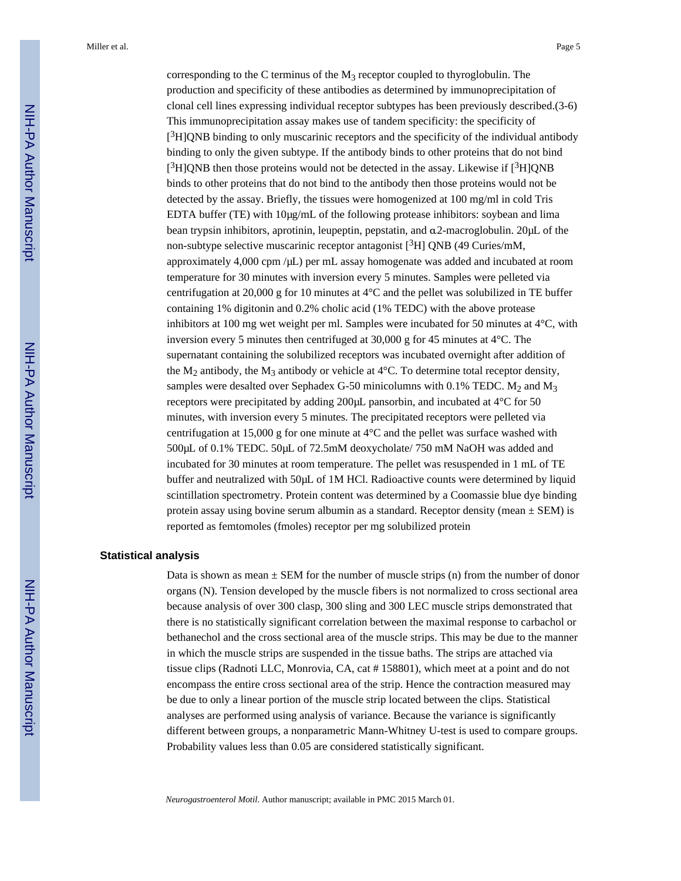corresponding to the C terminus of the  $M_3$  receptor coupled to thyroglobulin. The production and specificity of these antibodies as determined by immunoprecipitation of clonal cell lines expressing individual receptor subtypes has been previously described.(3-6) This immunoprecipitation assay makes use of tandem specificity: the specificity of  $[3H]QNB$  binding to only muscarinic receptors and the specificity of the individual antibody binding to only the given subtype. If the antibody binds to other proteins that do not bind  $[3H]QNB$  then those proteins would not be detected in the assay. Likewise if  $[3H]QNB$ binds to other proteins that do not bind to the antibody then those proteins would not be detected by the assay. Briefly, the tissues were homogenized at 100 mg/ml in cold Tris EDTA buffer (TE) with 10μg/mL of the following protease inhibitors: soybean and lima bean trypsin inhibitors, aprotinin, leupeptin, pepstatin, and α2-macroglobulin. 20μL of the non-subtype selective muscarinic receptor antagonist  $[3H]$  QNB (49 Curies/mM, approximately 4,000 cpm /μL) per mL assay homogenate was added and incubated at room temperature for 30 minutes with inversion every 5 minutes. Samples were pelleted via centrifugation at 20,000 g for 10 minutes at 4°C and the pellet was solubilized in TE buffer containing 1% digitonin and 0.2% cholic acid (1% TEDC) with the above protease inhibitors at 100 mg wet weight per ml. Samples were incubated for 50 minutes at 4°C, with inversion every 5 minutes then centrifuged at 30,000 g for 45 minutes at 4°C. The supernatant containing the solubilized receptors was incubated overnight after addition of the  $M_2$  antibody, the  $M_3$  antibody or vehicle at 4°C. To determine total receptor density, samples were desalted over Sephadex G-50 minicolumns with 0.1% TEDC.  $M_2$  and  $M_3$ receptors were precipitated by adding 200μL pansorbin, and incubated at 4°C for 50 minutes, with inversion every 5 minutes. The precipitated receptors were pelleted via centrifugation at 15,000 g for one minute at  $4^{\circ}$ C and the pellet was surface washed with 500μL of 0.1% TEDC. 50μL of 72.5mM deoxycholate/ 750 mM NaOH was added and incubated for 30 minutes at room temperature. The pellet was resuspended in 1 mL of TE buffer and neutralized with 50μL of 1M HCl. Radioactive counts were determined by liquid scintillation spectrometry. Protein content was determined by a Coomassie blue dye binding protein assay using bovine serum albumin as a standard. Receptor density (mean  $\pm$  SEM) is reported as femtomoles (fmoles) receptor per mg solubilized protein

#### **Statistical analysis**

Data is shown as mean  $\pm$  SEM for the number of muscle strips (n) from the number of donor organs (N). Tension developed by the muscle fibers is not normalized to cross sectional area because analysis of over 300 clasp, 300 sling and 300 LEC muscle strips demonstrated that there is no statistically significant correlation between the maximal response to carbachol or bethanechol and the cross sectional area of the muscle strips. This may be due to the manner in which the muscle strips are suspended in the tissue baths. The strips are attached via tissue clips (Radnoti LLC, Monrovia, CA, cat # 158801), which meet at a point and do not encompass the entire cross sectional area of the strip. Hence the contraction measured may be due to only a linear portion of the muscle strip located between the clips. Statistical analyses are performed using analysis of variance. Because the variance is significantly different between groups, a nonparametric Mann-Whitney U-test is used to compare groups. Probability values less than 0.05 are considered statistically significant.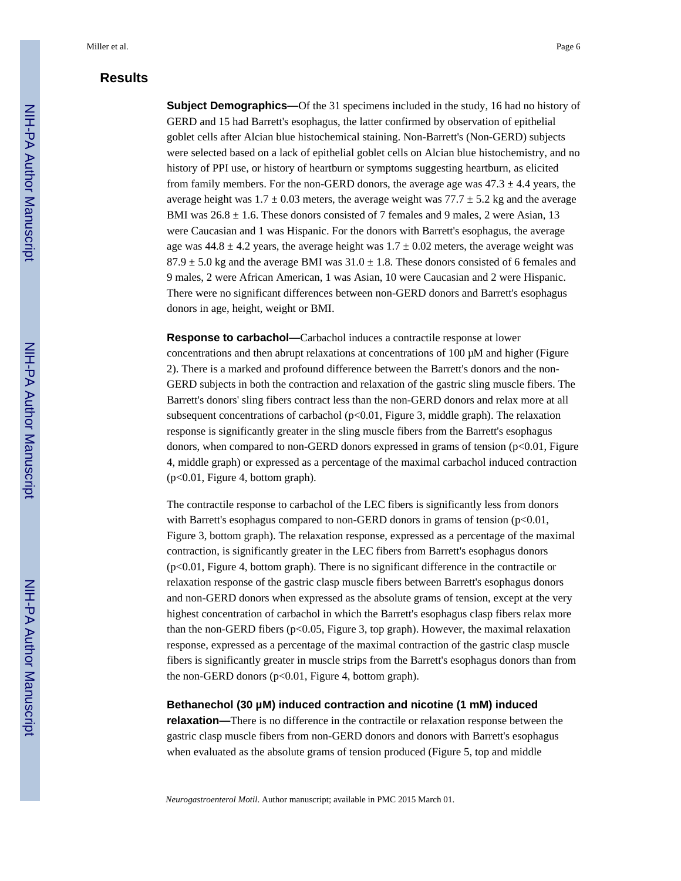## **Results**

**Subject Demographics—Of** the 31 specimens included in the study, 16 had no history of GERD and 15 had Barrett's esophagus, the latter confirmed by observation of epithelial goblet cells after Alcian blue histochemical staining. Non-Barrett's (Non-GERD) subjects were selected based on a lack of epithelial goblet cells on Alcian blue histochemistry, and no history of PPI use, or history of heartburn or symptoms suggesting heartburn, as elicited from family members. For the non-GERD donors, the average age was  $47.3 \pm 4.4$  years, the average height was  $1.7 \pm 0.03$  meters, the average weight was  $77.7 \pm 5.2$  kg and the average BMI was  $26.8 \pm 1.6$ . These donors consisted of 7 females and 9 males, 2 were Asian, 13 were Caucasian and 1 was Hispanic. For the donors with Barrett's esophagus, the average age was  $44.8 \pm 4.2$  years, the average height was  $1.7 \pm 0.02$  meters, the average weight was  $87.9 \pm 5.0$  kg and the average BMI was  $31.0 \pm 1.8$ . These donors consisted of 6 females and 9 males, 2 were African American, 1 was Asian, 10 were Caucasian and 2 were Hispanic. There were no significant differences between non-GERD donors and Barrett's esophagus donors in age, height, weight or BMI.

**Response to carbachol—**Carbachol induces a contractile response at lower concentrations and then abrupt relaxations at concentrations of 100 μM and higher (Figure 2). There is a marked and profound difference between the Barrett's donors and the non-GERD subjects in both the contraction and relaxation of the gastric sling muscle fibers. The Barrett's donors' sling fibers contract less than the non-GERD donors and relax more at all subsequent concentrations of carbachol (p<0.01, Figure 3, middle graph). The relaxation response is significantly greater in the sling muscle fibers from the Barrett's esophagus donors, when compared to non-GERD donors expressed in grams of tension  $(p<0.01$ , Figure 4, middle graph) or expressed as a percentage of the maximal carbachol induced contraction (p<0.01, Figure 4, bottom graph).

The contractile response to carbachol of the LEC fibers is significantly less from donors with Barrett's esophagus compared to non-GERD donors in grams of tension  $(p<0.01$ , Figure 3, bottom graph). The relaxation response, expressed as a percentage of the maximal contraction, is significantly greater in the LEC fibers from Barrett's esophagus donors  $(p<0.01$ , Figure 4, bottom graph). There is no significant difference in the contractile or relaxation response of the gastric clasp muscle fibers between Barrett's esophagus donors and non-GERD donors when expressed as the absolute grams of tension, except at the very highest concentration of carbachol in which the Barrett's esophagus clasp fibers relax more than the non-GERD fibers (p<0.05, Figure 3, top graph). However, the maximal relaxation response, expressed as a percentage of the maximal contraction of the gastric clasp muscle fibers is significantly greater in muscle strips from the Barrett's esophagus donors than from the non-GERD donors  $(p<0.01$ , Figure 4, bottom graph).

### **Bethanechol (30 μM) induced contraction and nicotine (1 mM) induced**

**relaxation—**There is no difference in the contractile or relaxation response between the gastric clasp muscle fibers from non-GERD donors and donors with Barrett's esophagus when evaluated as the absolute grams of tension produced (Figure 5, top and middle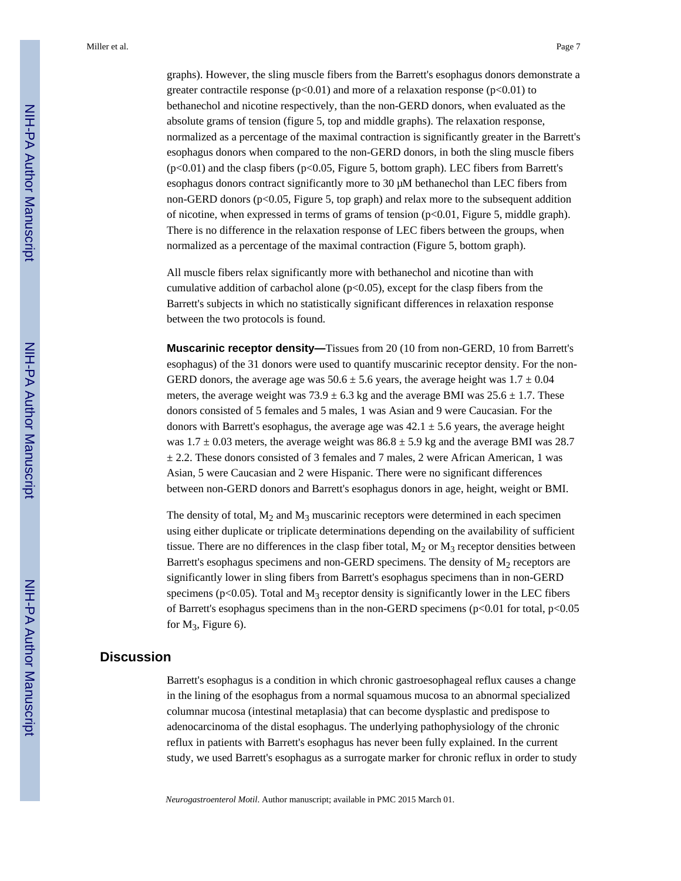graphs). However, the sling muscle fibers from the Barrett's esophagus donors demonstrate a greater contractile response ( $p<0.01$ ) and more of a relaxation response ( $p<0.01$ ) to bethanechol and nicotine respectively, than the non-GERD donors, when evaluated as the absolute grams of tension (figure 5, top and middle graphs). The relaxation response, normalized as a percentage of the maximal contraction is significantly greater in the Barrett's esophagus donors when compared to the non-GERD donors, in both the sling muscle fibers (p<0.01) and the clasp fibers (p<0.05, Figure 5, bottom graph). LEC fibers from Barrett's esophagus donors contract significantly more to 30 μM bethanechol than LEC fibers from non-GERD donors ( $p<0.05$ , Figure 5, top graph) and relax more to the subsequent addition of nicotine, when expressed in terms of grams of tension (p<0.01, Figure 5, middle graph). There is no difference in the relaxation response of LEC fibers between the groups, when normalized as a percentage of the maximal contraction (Figure 5, bottom graph).

All muscle fibers relax significantly more with bethanechol and nicotine than with cumulative addition of carbachol alone  $(p<0.05)$ , except for the clasp fibers from the Barrett's subjects in which no statistically significant differences in relaxation response between the two protocols is found.

**Muscarinic receptor density—**Tissues from 20 (10 from non-GERD, 10 from Barrett's esophagus) of the 31 donors were used to quantify muscarinic receptor density. For the non-GERD donors, the average age was  $50.6 \pm 5.6$  years, the average height was  $1.7 \pm 0.04$ meters, the average weight was  $73.9 \pm 6.3$  kg and the average BMI was  $25.6 \pm 1.7$ . These donors consisted of 5 females and 5 males, 1 was Asian and 9 were Caucasian. For the donors with Barrett's esophagus, the average age was  $42.1 \pm 5.6$  years, the average height was  $1.7 \pm 0.03$  meters, the average weight was  $86.8 \pm 5.9$  kg and the average BMI was 28.7  $\pm$  2.2. These donors consisted of 3 females and 7 males, 2 were African American, 1 was Asian, 5 were Caucasian and 2 were Hispanic. There were no significant differences between non-GERD donors and Barrett's esophagus donors in age, height, weight or BMI.

The density of total,  $M_2$  and  $M_3$  muscarinic receptors were determined in each specimen using either duplicate or triplicate determinations depending on the availability of sufficient tissue. There are no differences in the clasp fiber total,  $M_2$  or  $M_3$  receptor densities between Barrett's esophagus specimens and non-GERD specimens. The density of  $M<sub>2</sub>$  receptors are significantly lower in sling fibers from Barrett's esophagus specimens than in non-GERD specimens ( $p$ <0.05). Total and  $M_3$  receptor density is significantly lower in the LEC fibers of Barrett's esophagus specimens than in the non-GERD specimens ( $p<0.01$  for total,  $p<0.05$ ) for  $M_3$ , Figure 6).

## **Discussion**

Barrett's esophagus is a condition in which chronic gastroesophageal reflux causes a change in the lining of the esophagus from a normal squamous mucosa to an abnormal specialized columnar mucosa (intestinal metaplasia) that can become dysplastic and predispose to adenocarcinoma of the distal esophagus. The underlying pathophysiology of the chronic reflux in patients with Barrett's esophagus has never been fully explained. In the current study, we used Barrett's esophagus as a surrogate marker for chronic reflux in order to study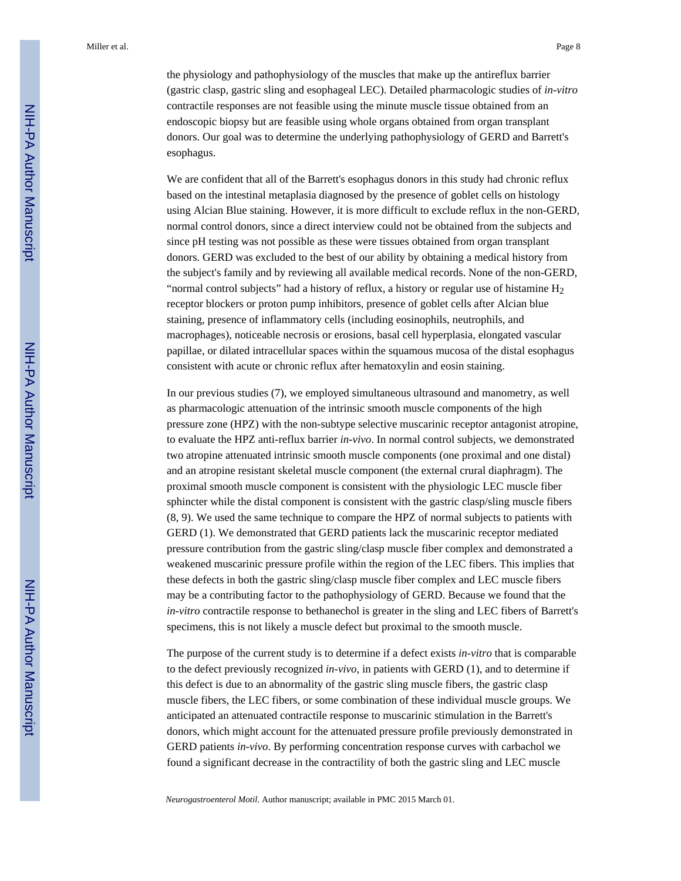the physiology and pathophysiology of the muscles that make up the antireflux barrier (gastric clasp, gastric sling and esophageal LEC). Detailed pharmacologic studies of *in-vitro* contractile responses are not feasible using the minute muscle tissue obtained from an endoscopic biopsy but are feasible using whole organs obtained from organ transplant donors. Our goal was to determine the underlying pathophysiology of GERD and Barrett's esophagus.

We are confident that all of the Barrett's esophagus donors in this study had chronic reflux based on the intestinal metaplasia diagnosed by the presence of goblet cells on histology using Alcian Blue staining. However, it is more difficult to exclude reflux in the non-GERD, normal control donors, since a direct interview could not be obtained from the subjects and since pH testing was not possible as these were tissues obtained from organ transplant donors. GERD was excluded to the best of our ability by obtaining a medical history from the subject's family and by reviewing all available medical records. None of the non-GERD, "normal control subjects" had a history of reflux, a history or regular use of histamine  $H_2$ receptor blockers or proton pump inhibitors, presence of goblet cells after Alcian blue staining, presence of inflammatory cells (including eosinophils, neutrophils, and macrophages), noticeable necrosis or erosions, basal cell hyperplasia, elongated vascular papillae, or dilated intracellular spaces within the squamous mucosa of the distal esophagus consistent with acute or chronic reflux after hematoxylin and eosin staining.

In our previous studies (7), we employed simultaneous ultrasound and manometry, as well as pharmacologic attenuation of the intrinsic smooth muscle components of the high pressure zone (HPZ) with the non-subtype selective muscarinic receptor antagonist atropine, to evaluate the HPZ anti-reflux barrier *in-vivo*. In normal control subjects, we demonstrated two atropine attenuated intrinsic smooth muscle components (one proximal and one distal) and an atropine resistant skeletal muscle component (the external crural diaphragm). The proximal smooth muscle component is consistent with the physiologic LEC muscle fiber sphincter while the distal component is consistent with the gastric clasp/sling muscle fibers (8, 9). We used the same technique to compare the HPZ of normal subjects to patients with GERD (1). We demonstrated that GERD patients lack the muscarinic receptor mediated pressure contribution from the gastric sling/clasp muscle fiber complex and demonstrated a weakened muscarinic pressure profile within the region of the LEC fibers. This implies that these defects in both the gastric sling/clasp muscle fiber complex and LEC muscle fibers may be a contributing factor to the pathophysiology of GERD. Because we found that the *in-vitro* contractile response to bethanechol is greater in the sling and LEC fibers of Barrett's specimens, this is not likely a muscle defect but proximal to the smooth muscle.

The purpose of the current study is to determine if a defect exists *in-vitro* that is comparable to the defect previously recognized *in-vivo*, in patients with GERD (1), and to determine if this defect is due to an abnormality of the gastric sling muscle fibers, the gastric clasp muscle fibers, the LEC fibers, or some combination of these individual muscle groups. We anticipated an attenuated contractile response to muscarinic stimulation in the Barrett's donors, which might account for the attenuated pressure profile previously demonstrated in GERD patients *in-vivo*. By performing concentration response curves with carbachol we found a significant decrease in the contractility of both the gastric sling and LEC muscle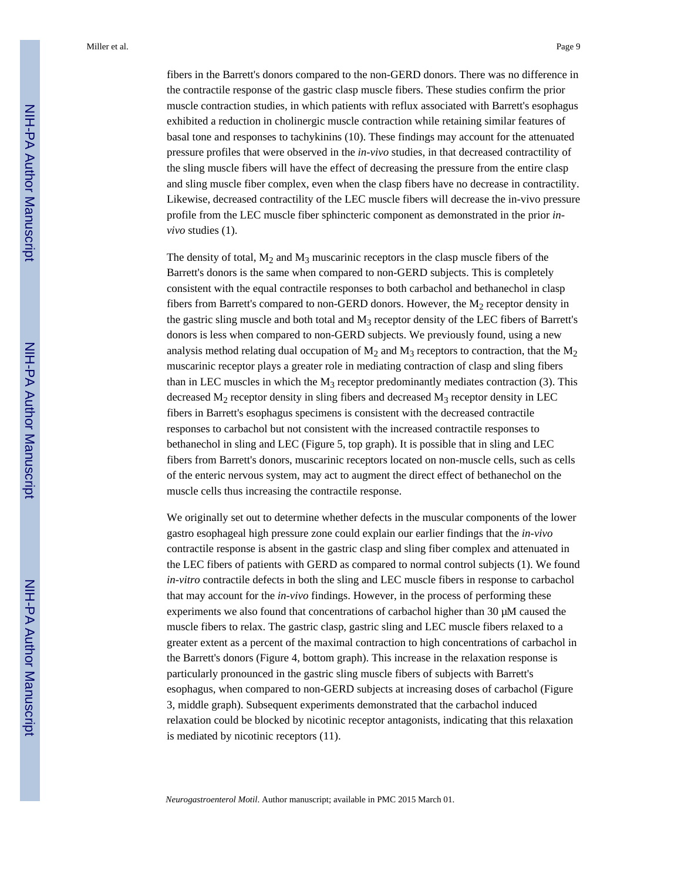fibers in the Barrett's donors compared to the non-GERD donors. There was no difference in the contractile response of the gastric clasp muscle fibers. These studies confirm the prior muscle contraction studies, in which patients with reflux associated with Barrett's esophagus exhibited a reduction in cholinergic muscle contraction while retaining similar features of basal tone and responses to tachykinins (10). These findings may account for the attenuated pressure profiles that were observed in the *in-vivo* studies, in that decreased contractility of the sling muscle fibers will have the effect of decreasing the pressure from the entire clasp and sling muscle fiber complex, even when the clasp fibers have no decrease in contractility. Likewise, decreased contractility of the LEC muscle fibers will decrease the in-vivo pressure profile from the LEC muscle fiber sphincteric component as demonstrated in the prior *invivo* studies (1).

The density of total,  $M_2$  and  $M_3$  muscarinic receptors in the clasp muscle fibers of the Barrett's donors is the same when compared to non-GERD subjects. This is completely consistent with the equal contractile responses to both carbachol and bethanechol in clasp fibers from Barrett's compared to non-GERD donors. However, the  $M<sub>2</sub>$  receptor density in the gastric sling muscle and both total and  $M_3$  receptor density of the LEC fibers of Barrett's donors is less when compared to non-GERD subjects. We previously found, using a new analysis method relating dual occupation of  $M_2$  and  $M_3$  receptors to contraction, that the  $M_2$ muscarinic receptor plays a greater role in mediating contraction of clasp and sling fibers than in LEC muscles in which the  $M_3$  receptor predominantly mediates contraction (3). This decreased  $M_2$  receptor density in sling fibers and decreased  $M_3$  receptor density in LEC fibers in Barrett's esophagus specimens is consistent with the decreased contractile responses to carbachol but not consistent with the increased contractile responses to bethanechol in sling and LEC (Figure 5, top graph). It is possible that in sling and LEC fibers from Barrett's donors, muscarinic receptors located on non-muscle cells, such as cells of the enteric nervous system, may act to augment the direct effect of bethanechol on the muscle cells thus increasing the contractile response.

We originally set out to determine whether defects in the muscular components of the lower gastro esophageal high pressure zone could explain our earlier findings that the *in-vivo* contractile response is absent in the gastric clasp and sling fiber complex and attenuated in the LEC fibers of patients with GERD as compared to normal control subjects (1). We found *in-vitro* contractile defects in both the sling and LEC muscle fibers in response to carbachol that may account for the *in-vivo* findings. However, in the process of performing these experiments we also found that concentrations of carbachol higher than 30 μM caused the muscle fibers to relax. The gastric clasp, gastric sling and LEC muscle fibers relaxed to a greater extent as a percent of the maximal contraction to high concentrations of carbachol in the Barrett's donors (Figure 4, bottom graph). This increase in the relaxation response is particularly pronounced in the gastric sling muscle fibers of subjects with Barrett's esophagus, when compared to non-GERD subjects at increasing doses of carbachol (Figure 3, middle graph). Subsequent experiments demonstrated that the carbachol induced relaxation could be blocked by nicotinic receptor antagonists, indicating that this relaxation is mediated by nicotinic receptors (11).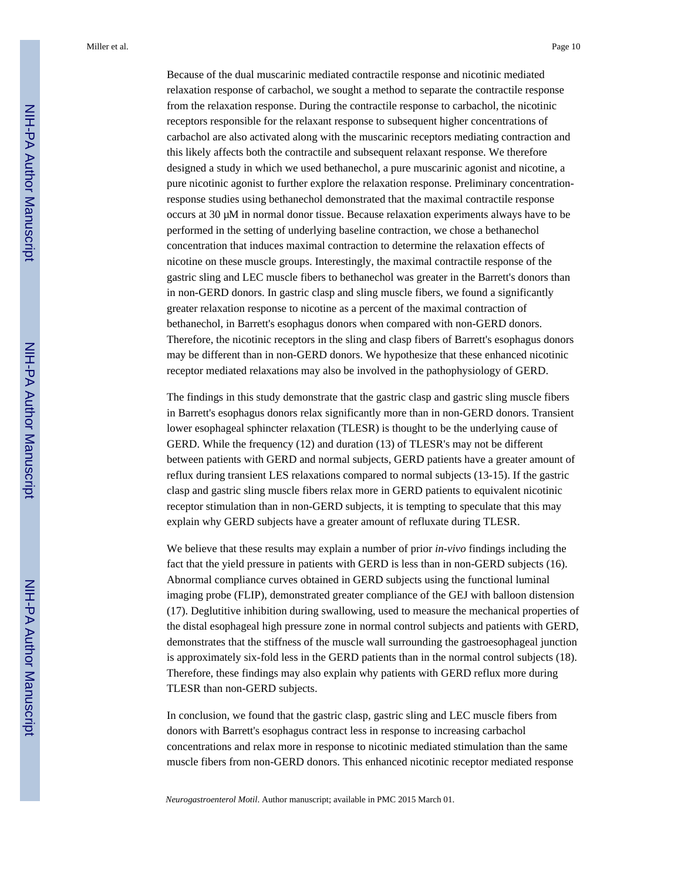Because of the dual muscarinic mediated contractile response and nicotinic mediated relaxation response of carbachol, we sought a method to separate the contractile response from the relaxation response. During the contractile response to carbachol, the nicotinic receptors responsible for the relaxant response to subsequent higher concentrations of carbachol are also activated along with the muscarinic receptors mediating contraction and this likely affects both the contractile and subsequent relaxant response. We therefore designed a study in which we used bethanechol, a pure muscarinic agonist and nicotine, a pure nicotinic agonist to further explore the relaxation response. Preliminary concentrationresponse studies using bethanechol demonstrated that the maximal contractile response occurs at 30 μM in normal donor tissue. Because relaxation experiments always have to be performed in the setting of underlying baseline contraction, we chose a bethanechol concentration that induces maximal contraction to determine the relaxation effects of nicotine on these muscle groups. Interestingly, the maximal contractile response of the gastric sling and LEC muscle fibers to bethanechol was greater in the Barrett's donors than in non-GERD donors. In gastric clasp and sling muscle fibers, we found a significantly greater relaxation response to nicotine as a percent of the maximal contraction of bethanechol, in Barrett's esophagus donors when compared with non-GERD donors. Therefore, the nicotinic receptors in the sling and clasp fibers of Barrett's esophagus donors may be different than in non-GERD donors. We hypothesize that these enhanced nicotinic receptor mediated relaxations may also be involved in the pathophysiology of GERD.

The findings in this study demonstrate that the gastric clasp and gastric sling muscle fibers in Barrett's esophagus donors relax significantly more than in non-GERD donors. Transient lower esophageal sphincter relaxation (TLESR) is thought to be the underlying cause of GERD. While the frequency (12) and duration (13) of TLESR's may not be different between patients with GERD and normal subjects, GERD patients have a greater amount of reflux during transient LES relaxations compared to normal subjects (13-15). If the gastric clasp and gastric sling muscle fibers relax more in GERD patients to equivalent nicotinic receptor stimulation than in non-GERD subjects, it is tempting to speculate that this may explain why GERD subjects have a greater amount of refluxate during TLESR.

We believe that these results may explain a number of prior *in-vivo* findings including the fact that the yield pressure in patients with GERD is less than in non-GERD subjects (16). Abnormal compliance curves obtained in GERD subjects using the functional luminal imaging probe (FLIP), demonstrated greater compliance of the GEJ with balloon distension (17). Deglutitive inhibition during swallowing, used to measure the mechanical properties of the distal esophageal high pressure zone in normal control subjects and patients with GERD, demonstrates that the stiffness of the muscle wall surrounding the gastroesophageal junction is approximately six-fold less in the GERD patients than in the normal control subjects (18). Therefore, these findings may also explain why patients with GERD reflux more during TLESR than non-GERD subjects.

In conclusion, we found that the gastric clasp, gastric sling and LEC muscle fibers from donors with Barrett's esophagus contract less in response to increasing carbachol concentrations and relax more in response to nicotinic mediated stimulation than the same muscle fibers from non-GERD donors. This enhanced nicotinic receptor mediated response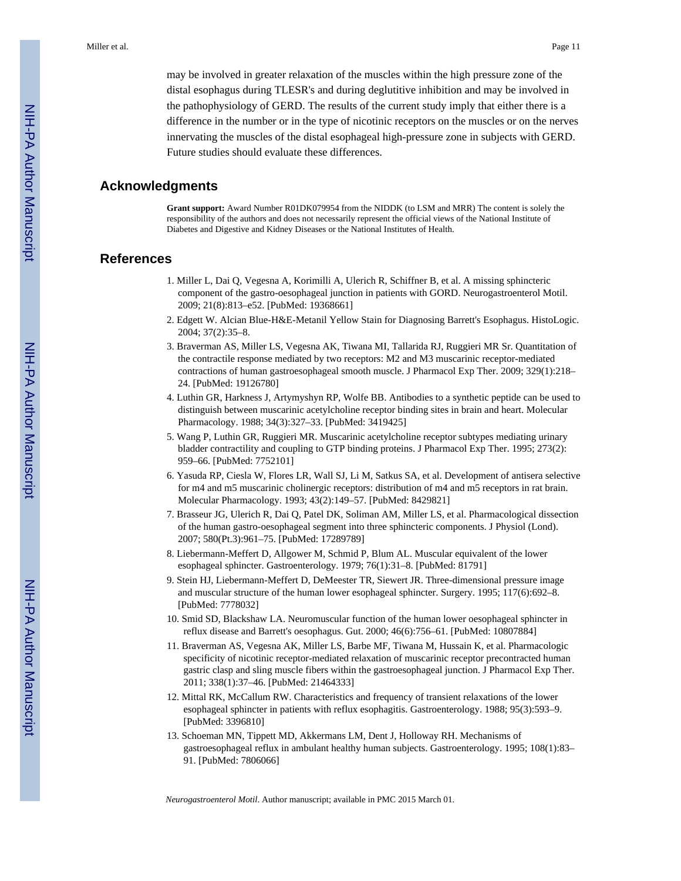may be involved in greater relaxation of the muscles within the high pressure zone of the distal esophagus during TLESR's and during deglutitive inhibition and may be involved in the pathophysiology of GERD. The results of the current study imply that either there is a difference in the number or in the type of nicotinic receptors on the muscles or on the nerves innervating the muscles of the distal esophageal high-pressure zone in subjects with GERD. Future studies should evaluate these differences.

## **Acknowledgments**

**Grant support:** Award Number R01DK079954 from the NIDDK (to LSM and MRR) The content is solely the responsibility of the authors and does not necessarily represent the official views of the National Institute of Diabetes and Digestive and Kidney Diseases or the National Institutes of Health.

## **References**

- 1. Miller L, Dai Q, Vegesna A, Korimilli A, Ulerich R, Schiffner B, et al. A missing sphincteric component of the gastro-oesophageal junction in patients with GORD. Neurogastroenterol Motil. 2009; 21(8):813–e52. [PubMed: 19368661]
- 2. Edgett W. Alcian Blue-H&E-Metanil Yellow Stain for Diagnosing Barrett's Esophagus. HistoLogic. 2004; 37(2):35–8.
- 3. Braverman AS, Miller LS, Vegesna AK, Tiwana MI, Tallarida RJ, Ruggieri MR Sr. Quantitation of the contractile response mediated by two receptors: M2 and M3 muscarinic receptor-mediated contractions of human gastroesophageal smooth muscle. J Pharmacol Exp Ther. 2009; 329(1):218– 24. [PubMed: 19126780]
- 4. Luthin GR, Harkness J, Artymyshyn RP, Wolfe BB. Antibodies to a synthetic peptide can be used to distinguish between muscarinic acetylcholine receptor binding sites in brain and heart. Molecular Pharmacology. 1988; 34(3):327–33. [PubMed: 3419425]
- 5. Wang P, Luthin GR, Ruggieri MR. Muscarinic acetylcholine receptor subtypes mediating urinary bladder contractility and coupling to GTP binding proteins. J Pharmacol Exp Ther. 1995; 273(2): 959–66. [PubMed: 7752101]
- 6. Yasuda RP, Ciesla W, Flores LR, Wall SJ, Li M, Satkus SA, et al. Development of antisera selective for m4 and m5 muscarinic cholinergic receptors: distribution of m4 and m5 receptors in rat brain. Molecular Pharmacology. 1993; 43(2):149–57. [PubMed: 8429821]
- 7. Brasseur JG, Ulerich R, Dai Q, Patel DK, Soliman AM, Miller LS, et al. Pharmacological dissection of the human gastro-oesophageal segment into three sphincteric components. J Physiol (Lond). 2007; 580(Pt.3):961–75. [PubMed: 17289789]
- 8. Liebermann-Meffert D, Allgower M, Schmid P, Blum AL. Muscular equivalent of the lower esophageal sphincter. Gastroenterology. 1979; 76(1):31–8. [PubMed: 81791]
- 9. Stein HJ, Liebermann-Meffert D, DeMeester TR, Siewert JR. Three-dimensional pressure image and muscular structure of the human lower esophageal sphincter. Surgery. 1995; 117(6):692–8. [PubMed: 7778032]
- 10. Smid SD, Blackshaw LA. Neuromuscular function of the human lower oesophageal sphincter in reflux disease and Barrett's oesophagus. Gut. 2000; 46(6):756–61. [PubMed: 10807884]
- 11. Braverman AS, Vegesna AK, Miller LS, Barbe MF, Tiwana M, Hussain K, et al. Pharmacologic specificity of nicotinic receptor-mediated relaxation of muscarinic receptor precontracted human gastric clasp and sling muscle fibers within the gastroesophageal junction. J Pharmacol Exp Ther. 2011; 338(1):37–46. [PubMed: 21464333]
- 12. Mittal RK, McCallum RW. Characteristics and frequency of transient relaxations of the lower esophageal sphincter in patients with reflux esophagitis. Gastroenterology. 1988; 95(3):593–9. [PubMed: 3396810]
- 13. Schoeman MN, Tippett MD, Akkermans LM, Dent J, Holloway RH. Mechanisms of gastroesophageal reflux in ambulant healthy human subjects. Gastroenterology. 1995; 108(1):83– 91. [PubMed: 7806066]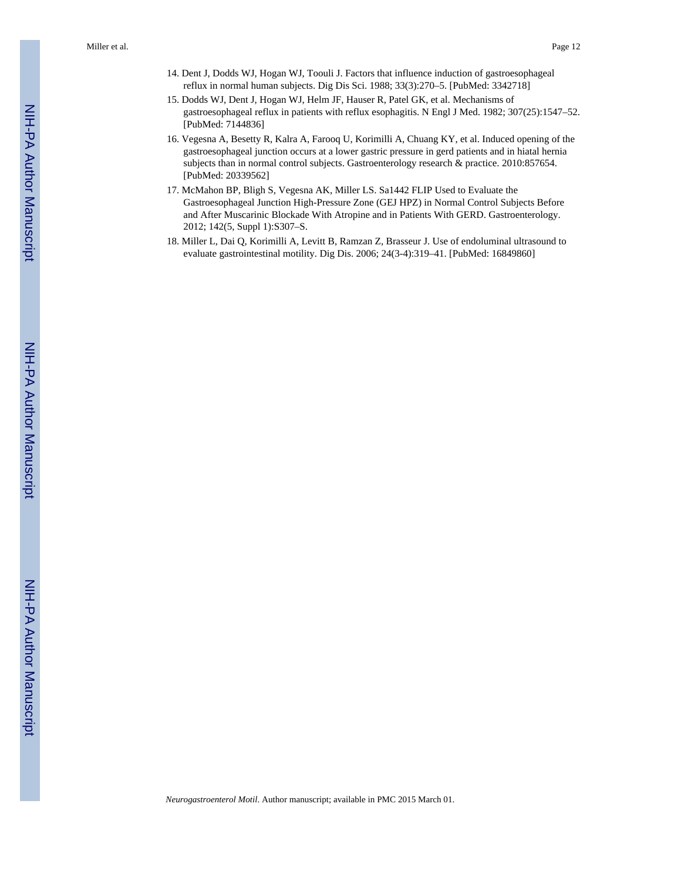- 14. Dent J, Dodds WJ, Hogan WJ, Toouli J. Factors that influence induction of gastroesophageal reflux in normal human subjects. Dig Dis Sci. 1988; 33(3):270–5. [PubMed: 3342718]
- 15. Dodds WJ, Dent J, Hogan WJ, Helm JF, Hauser R, Patel GK, et al. Mechanisms of gastroesophageal reflux in patients with reflux esophagitis. N Engl J Med. 1982; 307(25):1547–52. [PubMed: 7144836]
- 16. Vegesna A, Besetty R, Kalra A, Farooq U, Korimilli A, Chuang KY, et al. Induced opening of the gastroesophageal junction occurs at a lower gastric pressure in gerd patients and in hiatal hernia subjects than in normal control subjects. Gastroenterology research & practice. 2010:857654. [PubMed: 20339562]
- 17. McMahon BP, Bligh S, Vegesna AK, Miller LS. Sa1442 FLIP Used to Evaluate the Gastroesophageal Junction High-Pressure Zone (GEJ HPZ) in Normal Control Subjects Before and After Muscarinic Blockade With Atropine and in Patients With GERD. Gastroenterology. 2012; 142(5, Suppl 1):S307–S.
- 18. Miller L, Dai Q, Korimilli A, Levitt B, Ramzan Z, Brasseur J. Use of endoluminal ultrasound to evaluate gastrointestinal motility. Dig Dis. 2006; 24(3-4):319–41. [PubMed: 16849860]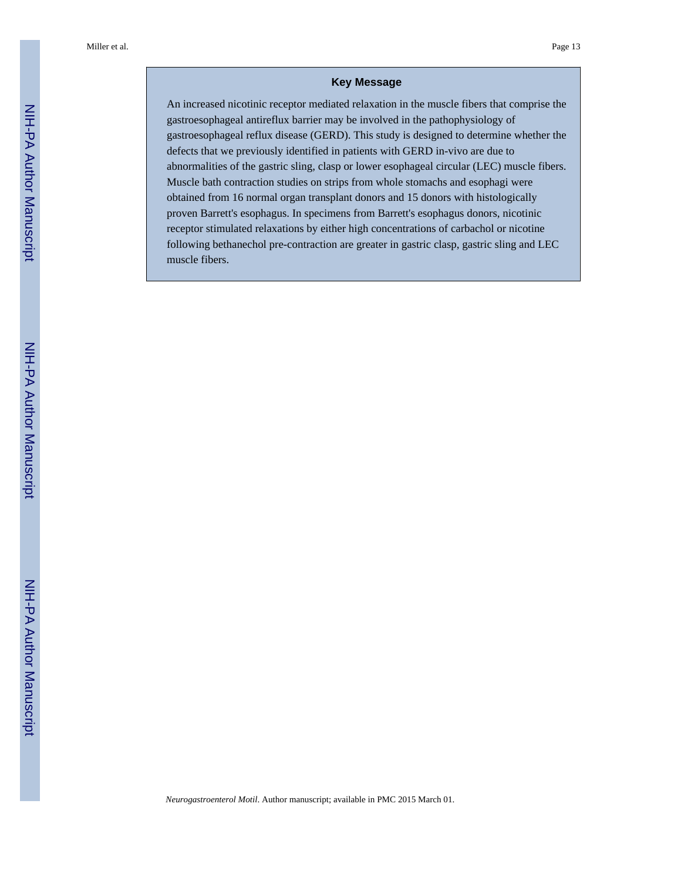## **Key Message**

An increased nicotinic receptor mediated relaxation in the muscle fibers that comprise the gastroesophageal antireflux barrier may be involved in the pathophysiology of gastroesophageal reflux disease (GERD). This study is designed to determine whether the defects that we previously identified in patients with GERD in-vivo are due to abnormalities of the gastric sling, clasp or lower esophageal circular (LEC) muscle fibers. Muscle bath contraction studies on strips from whole stomachs and esophagi were obtained from 16 normal organ transplant donors and 15 donors with histologically proven Barrett's esophagus. In specimens from Barrett's esophagus donors, nicotinic receptor stimulated relaxations by either high concentrations of carbachol or nicotine following bethanechol pre-contraction are greater in gastric clasp, gastric sling and LEC muscle fibers.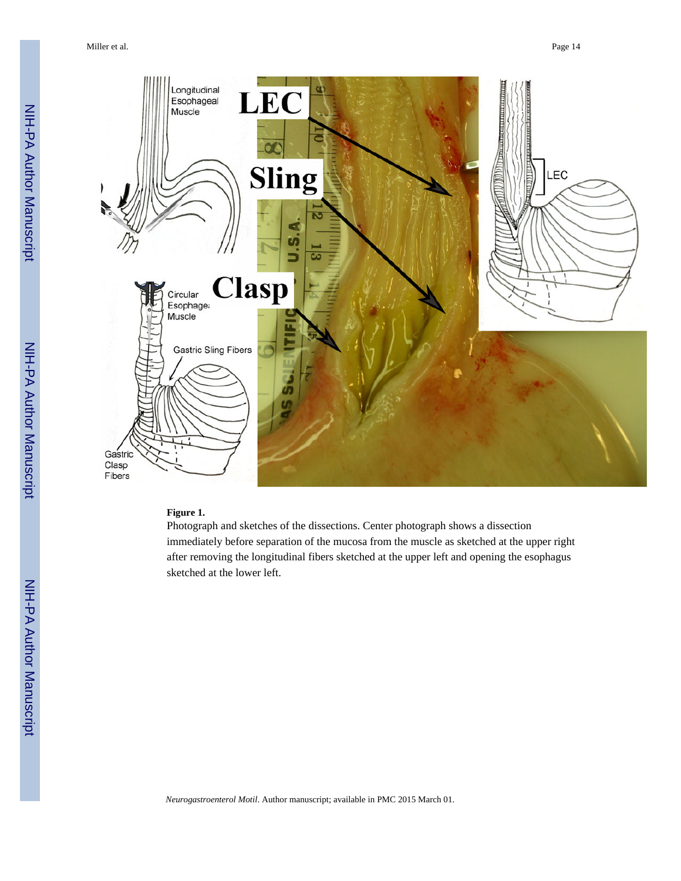

## **Figure 1.**

Photograph and sketches of the dissections. Center photograph shows a dissection immediately before separation of the mucosa from the muscle as sketched at the upper right after removing the longitudinal fibers sketched at the upper left and opening the esophagus sketched at the lower left.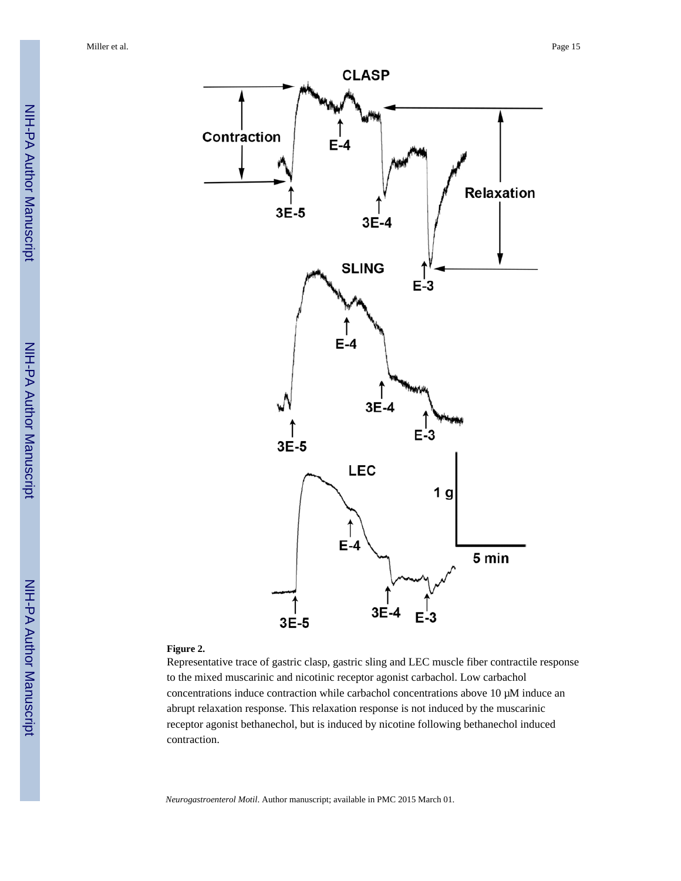

## **Figure 2.**

Representative trace of gastric clasp, gastric sling and LEC muscle fiber contractile response to the mixed muscarinic and nicotinic receptor agonist carbachol. Low carbachol concentrations induce contraction while carbachol concentrations above 10 μM induce an abrupt relaxation response. This relaxation response is not induced by the muscarinic receptor agonist bethanechol, but is induced by nicotine following bethanechol induced contraction.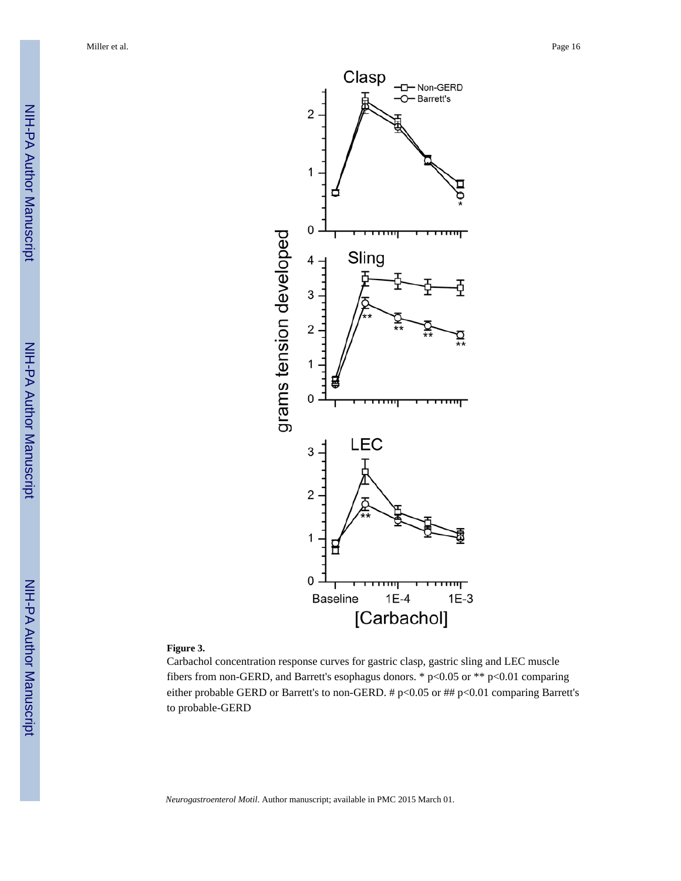

ф

<del>,,,,,,</del>

 $1E-3$ 

## **Figure 3.**

Carbachol concentration response curves for gastric clasp, gastric sling and LEC muscle fibers from non-GERD, and Barrett's esophagus donors. \* p<0.05 or \*\* p<0.01 comparing either probable GERD or Barrett's to non-GERD. # p<0.05 or ## p<0.01 comparing Barrett's to probable-GERD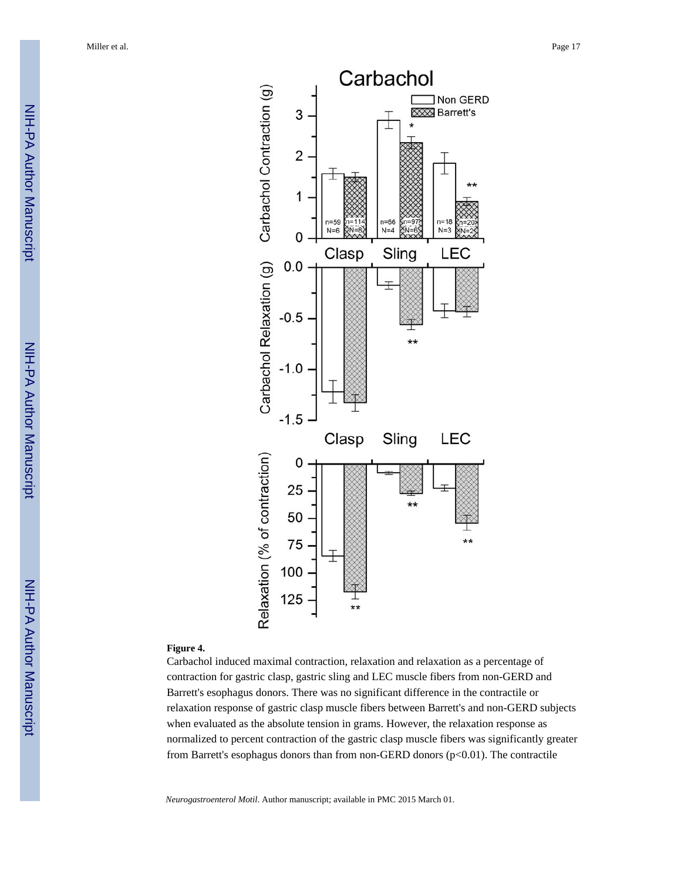

## **Figure 4.**

Carbachol induced maximal contraction, relaxation and relaxation as a percentage of contraction for gastric clasp, gastric sling and LEC muscle fibers from non-GERD and Barrett's esophagus donors. There was no significant difference in the contractile or relaxation response of gastric clasp muscle fibers between Barrett's and non-GERD subjects when evaluated as the absolute tension in grams. However, the relaxation response as normalized to percent contraction of the gastric clasp muscle fibers was significantly greater from Barrett's esophagus donors than from non-GERD donors (p<0.01). The contractile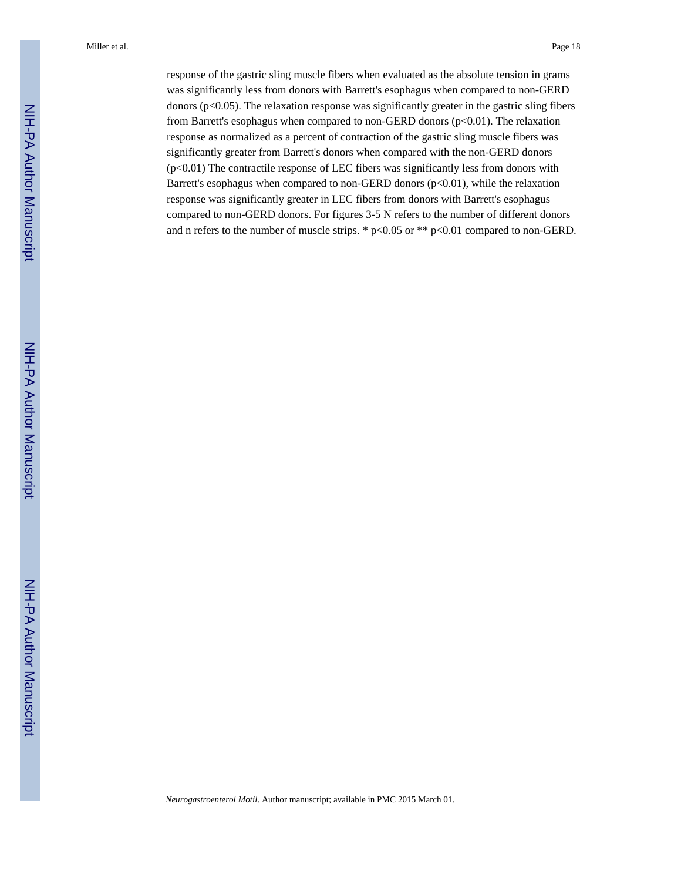response of the gastric sling muscle fibers when evaluated as the absolute tension in grams was significantly less from donors with Barrett's esophagus when compared to non-GERD donors (p<0.05). The relaxation response was significantly greater in the gastric sling fibers from Barrett's esophagus when compared to non-GERD donors (p<0.01). The relaxation response as normalized as a percent of contraction of the gastric sling muscle fibers was significantly greater from Barrett's donors when compared with the non-GERD donors (p<0.01) The contractile response of LEC fibers was significantly less from donors with Barrett's esophagus when compared to non-GERD donors (p<0.01), while the relaxation response was significantly greater in LEC fibers from donors with Barrett's esophagus compared to non-GERD donors. For figures 3-5 N refers to the number of different donors and n refers to the number of muscle strips. \*  $p<0.05$  or \*\*  $p<0.01$  compared to non-GERD.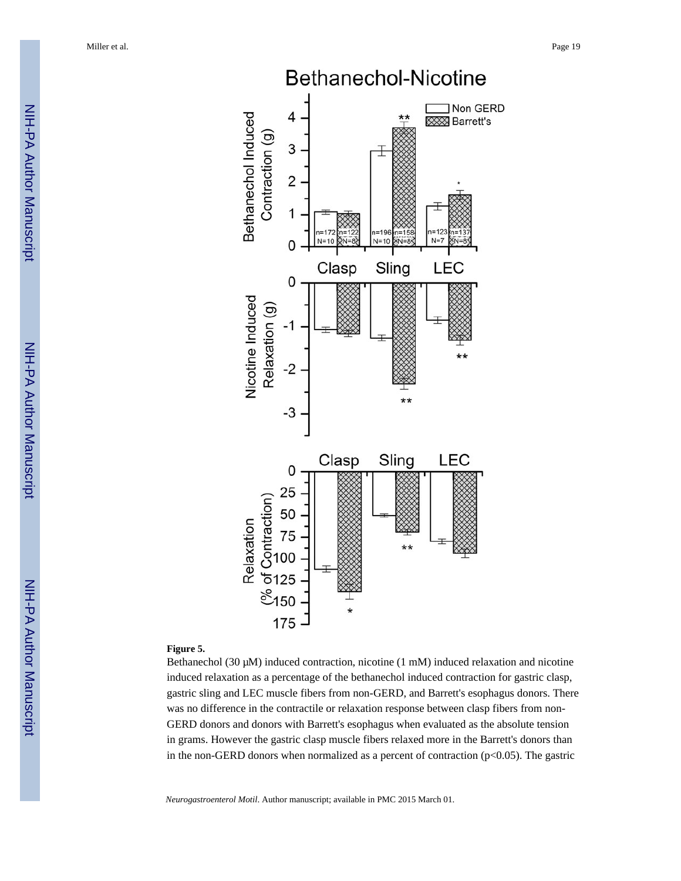

## **Figure 5.**

Bethanechol (30 μM) induced contraction, nicotine (1 mM) induced relaxation and nicotine induced relaxation as a percentage of the bethanechol induced contraction for gastric clasp, gastric sling and LEC muscle fibers from non-GERD, and Barrett's esophagus donors. There was no difference in the contractile or relaxation response between clasp fibers from non-GERD donors and donors with Barrett's esophagus when evaluated as the absolute tension in grams. However the gastric clasp muscle fibers relaxed more in the Barrett's donors than in the non-GERD donors when normalized as a percent of contraction ( $p<0.05$ ). The gastric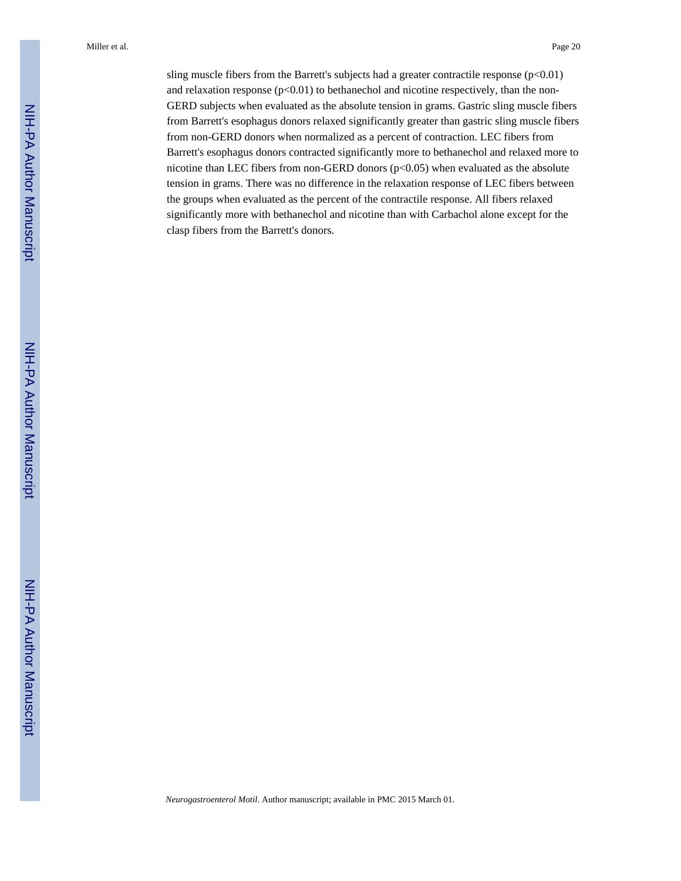sling muscle fibers from the Barrett's subjects had a greater contractile response  $(p<0.01)$ and relaxation response  $(p<0.01)$  to bethanechol and nicotine respectively, than the non-GERD subjects when evaluated as the absolute tension in grams. Gastric sling muscle fibers from Barrett's esophagus donors relaxed significantly greater than gastric sling muscle fibers from non-GERD donors when normalized as a percent of contraction. LEC fibers from Barrett's esophagus donors contracted significantly more to bethanechol and relaxed more to nicotine than LEC fibers from non-GERD donors  $(p<0.05)$  when evaluated as the absolute tension in grams. There was no difference in the relaxation response of LEC fibers between the groups when evaluated as the percent of the contractile response. All fibers relaxed significantly more with bethanechol and nicotine than with Carbachol alone except for the clasp fibers from the Barrett's donors.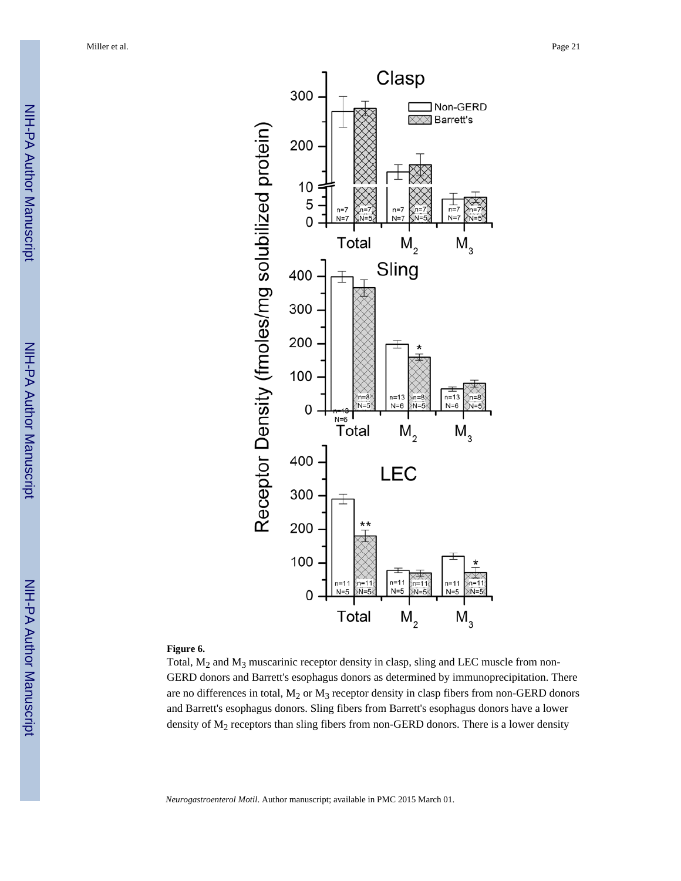

#### **Figure 6.**

Total,  $M_2$  and  $M_3$  muscarinic receptor density in clasp, sling and LEC muscle from non-GERD donors and Barrett's esophagus donors as determined by immunoprecipitation. There are no differences in total,  $M_2$  or  $M_3$  receptor density in clasp fibers from non-GERD donors and Barrett's esophagus donors. Sling fibers from Barrett's esophagus donors have a lower density of  $M<sub>2</sub>$  receptors than sling fibers from non-GERD donors. There is a lower density